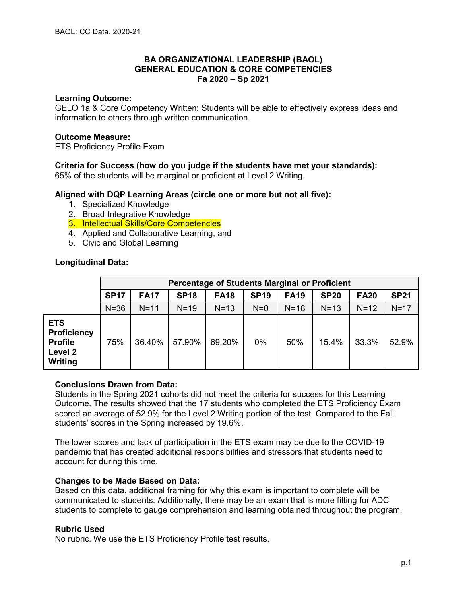## **Learning Outcome:**

GELO 1a & Core Competency Written: Students will be able to effectively express ideas and information to others through written communication.

## **Outcome Measure:**

ETS Proficiency Profile Exam

## **Criteria for Success (how do you judge if the students have met your standards):**

65% of the students will be marginal or proficient at Level 2 Writing.

## **Aligned with DQP Learning Areas (circle one or more but not all five):**

- 1. Specialized Knowledge
- 2. Broad Integrative Knowledge
- 3. Intellectual Skills/Core Competencies
- 4. Applied and Collaborative Learning, and
- 5. Civic and Global Learning

## **Longitudinal Data:**

|                                                                          |             | Percentage of Students Marginal or Proficient |             |             |             |             |             |             |             |
|--------------------------------------------------------------------------|-------------|-----------------------------------------------|-------------|-------------|-------------|-------------|-------------|-------------|-------------|
|                                                                          | <b>SP17</b> | <b>FA17</b>                                   | <b>SP18</b> | <b>FA18</b> | <b>SP19</b> | <b>FA19</b> | <b>SP20</b> | <b>FA20</b> | <b>SP21</b> |
|                                                                          | $N = 36$    | $N=11$                                        | $N=19$      | $N=13$      | $N=0$       | $N=18$      | $N=13$      | $N=12$      | $N=17$      |
| <b>ETS</b><br><b>Proficiency</b><br><b>Profile</b><br>Level 2<br>Writing | 75%         | 36.40%                                        | 57.90%      | 69.20%      | $0\%$       | 50%         | 15.4%       | 33.3%       | 52.9%       |

## **Conclusions Drawn from Data:**

Students in the Spring 2021 cohorts did not meet the criteria for success for this Learning Outcome. The results showed that the 17 students who completed the ETS Proficiency Exam scored an average of 52.9% for the Level 2 Writing portion of the test. Compared to the Fall, students' scores in the Spring increased by 19.6%.

The lower scores and lack of participation in the ETS exam may be due to the COVID-19 pandemic that has created additional responsibilities and stressors that students need to account for during this time.

#### **Changes to be Made Based on Data:**

Based on this data, additional framing for why this exam is important to complete will be communicated to students. Additionally, there may be an exam that is more fitting for ADC students to complete to gauge comprehension and learning obtained throughout the program.

#### **Rubric Used**

No rubric. We use the ETS Proficiency Profile test results.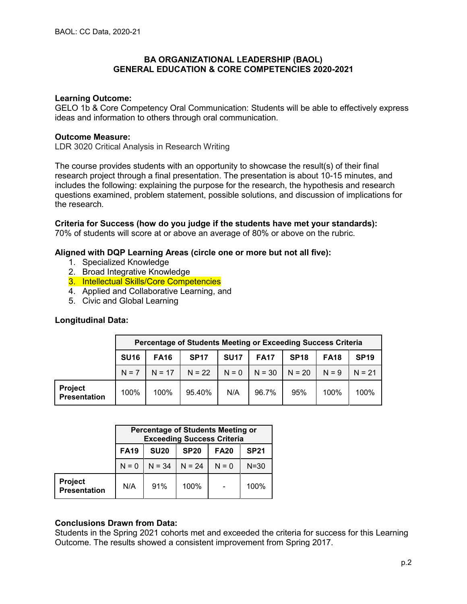#### **Learning Outcome:**

GELO 1b & Core Competency Oral Communication: Students will be able to effectively express ideas and information to others through oral communication.

#### **Outcome Measure:**

LDR 3020 Critical Analysis in Research Writing

The course provides students with an opportunity to showcase the result(s) of their final research project through a final presentation. The presentation is about 10-15 minutes, and includes the following: explaining the purpose for the research, the hypothesis and research questions examined, problem statement, possible solutions, and discussion of implications for the research.

#### **Criteria for Success (how do you judge if the students have met your standards):**

70% of students will score at or above an average of 80% or above on the rubric.

#### **Aligned with DQP Learning Areas (circle one or more but not all five):**

- 1. Specialized Knowledge
- 2. Broad Integrative Knowledge
- 3. Intellectual Skills/Core Competencies
- 4. Applied and Collaborative Learning, and
- 5. Civic and Global Learning

## **Longitudinal Data:**

|                                       | Percentage of Students Meeting or Exceeding Success Criteria |             |             |             |             |             |             |             |
|---------------------------------------|--------------------------------------------------------------|-------------|-------------|-------------|-------------|-------------|-------------|-------------|
|                                       | <b>SU16</b>                                                  | <b>FA16</b> | <b>SP17</b> | <b>SU17</b> | <b>FA17</b> | <b>SP18</b> | <b>FA18</b> | <b>SP19</b> |
|                                       | $N = 7$                                                      | $N = 17$    | $N = 22$    | $N = 0$     | $N = 30$    | $N = 20$    | $N = 9$     | $N = 21$    |
| <b>Project</b><br><b>Presentation</b> | 100%                                                         | 100%        | 95.40%      | N/A         | 96.7%       | 95%         | 100%        | 100%        |

|                                       | <b>Percentage of Students Meeting or</b><br><b>Exceeding Success Criteria</b> |                                                          |          |         |          |  |  |
|---------------------------------------|-------------------------------------------------------------------------------|----------------------------------------------------------|----------|---------|----------|--|--|
|                                       | <b>FA19</b>                                                                   | <b>SU20</b><br><b>SP20</b><br><b>SP21</b><br><b>FA20</b> |          |         |          |  |  |
|                                       | $N = 0$                                                                       | $N = 34$                                                 | $N = 24$ | $N = 0$ | $N = 30$ |  |  |
| <b>Project</b><br><b>Presentation</b> | N/A                                                                           | 91%                                                      | 100%     |         | 100%     |  |  |

#### **Conclusions Drawn from Data:**

Students in the Spring 2021 cohorts met and exceeded the criteria for success for this Learning Outcome. The results showed a consistent improvement from Spring 2017.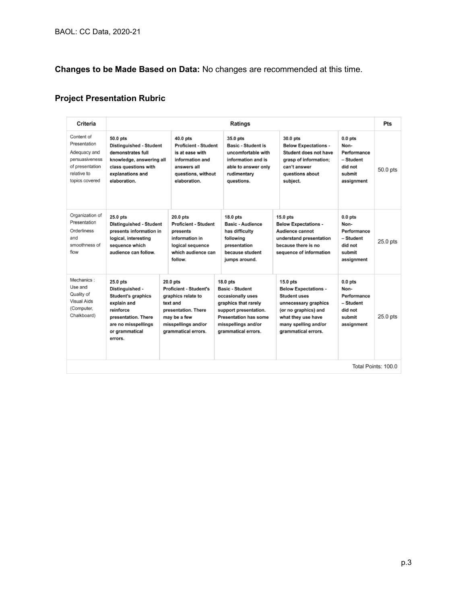# **Changes to be Made Based on Data:** No changes are recommended at this time.

# **Project Presentation Rubric**

| Criteria                                                                                                         |                                                                                                                                                                 |                                                                                                                                                                    | <b>Ratings</b>                                                                                                                                                                         |                                                                                                                                                                                       |                                                                                  | Pts                 |
|------------------------------------------------------------------------------------------------------------------|-----------------------------------------------------------------------------------------------------------------------------------------------------------------|--------------------------------------------------------------------------------------------------------------------------------------------------------------------|----------------------------------------------------------------------------------------------------------------------------------------------------------------------------------------|---------------------------------------------------------------------------------------------------------------------------------------------------------------------------------------|----------------------------------------------------------------------------------|---------------------|
| Content of<br>Presentation<br>Adequacy and<br>persuasiveness<br>of presentation<br>relative to<br>topics covered | 50.0 pts<br><b>Distinguished - Student</b><br>demonstrates full<br>knowledge, answering all<br>class questions with<br>explanations and<br>elaboration.         | 40.0 pts<br><b>Proficient - Student</b><br>is at ease with<br>information and<br>answers all<br>questions, without<br>elaboration.                                 | 35.0 pts<br><b>Basic - Student is</b><br>uncomfortable with<br>information and is<br>able to answer only<br>rudimentary<br>questions.                                                  | 30.0 pts<br><b>Below Expectations -</b><br>Student does not have<br>grasp of information:<br>can't answer<br>questions about<br>subject.                                              | $0.0$ pts<br>Non-<br>Performance<br>- Student<br>did not<br>submit<br>assignment | 50.0 pts            |
| Organization of<br>Presentation<br>Orderliness<br>and<br>smoothness of<br>flow                                   | 25.0 pts<br><b>Distinguished - Student</b><br>presents information in<br>logical, interesting<br>sequence which<br>audience can follow.                         | 20.0 pts<br><b>Proficient - Student</b><br>presents<br>information in<br>logical sequence<br>which audience can<br>follow.                                         | 18.0 pts<br>Basic - Audience<br>has difficulty<br>following<br>presentation<br>because student<br>jumps around.                                                                        | $15.0$ pts<br><b>Below Expectations -</b><br>Audience cannot<br>understand presentation<br>because there is no<br>sequence of information                                             | $0.0$ pts<br>Non-<br>Performance<br>- Student<br>did not<br>submit<br>assignment | $25.0$ pts          |
| Mechanics:<br>Use and<br>Quality of<br><b>Visual Aids</b><br>(Computer,<br>Chalkboard)                           | 25.0 pts<br>Distinguished -<br><b>Student's graphics</b><br>explain and<br>reinforce<br>presentation. There<br>are no misspellings<br>or grammatical<br>errors. | $20.0$ pts<br><b>Proficient - Student's</b><br>graphics relate to<br>text and<br>presentation. There<br>may be a few<br>misspellings and/or<br>grammatical errors. | 18.0 pts<br><b>Basic - Student</b><br>occasionally uses<br>graphics that rarely<br>support presentation.<br><b>Presentation has some</b><br>misspellings and/or<br>grammatical errors. | $15.0$ pts<br><b>Below Expectations -</b><br><b>Student uses</b><br>unnecessary graphics<br>(or no graphics) and<br>what they use have<br>many spelling and/or<br>grammatical errors. | $0.0$ pts<br>Non-<br>Performance<br>- Student<br>did not<br>submit<br>assignment | $25.0$ pts          |
|                                                                                                                  |                                                                                                                                                                 |                                                                                                                                                                    |                                                                                                                                                                                        |                                                                                                                                                                                       |                                                                                  | Total Points: 100.0 |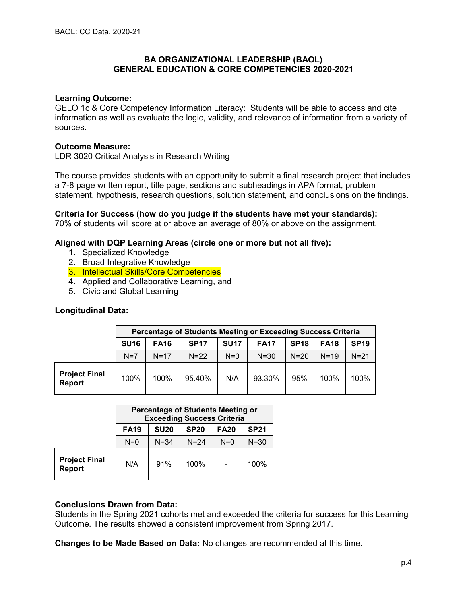## **Learning Outcome:**

GELO 1c & Core Competency Information Literacy: Students will be able to access and cite information as well as evaluate the logic, validity, and relevance of information from a variety of sources.

## **Outcome Measure:**

LDR 3020 Critical Analysis in Research Writing

The course provides students with an opportunity to submit a final research project that includes a 7-8 page written report, title page, sections and subheadings in APA format, problem statement, hypothesis, research questions, solution statement, and conclusions on the findings.

**Criteria for Success (how do you judge if the students have met your standards):** 70% of students will score at or above an average of 80% or above on the assignment.

## **Aligned with DQP Learning Areas (circle one or more but not all five):**

- 1. Specialized Knowledge
- 2. Broad Integrative Knowledge
- 3. Intellectual Skills/Core Competencies
- 4. Applied and Collaborative Learning, and
- 5. Civic and Global Learning

## **Longitudinal Data:**

|                                |             | Percentage of Students Meeting or Exceeding Success Criteria |             |             |             |             |             |             |  |
|--------------------------------|-------------|--------------------------------------------------------------|-------------|-------------|-------------|-------------|-------------|-------------|--|
|                                | <b>SU16</b> | <b>FA16</b>                                                  | <b>SP17</b> | <b>SU17</b> | <b>FA17</b> | <b>SP18</b> | <b>FA18</b> | <b>SP19</b> |  |
|                                | $N=7$       | $N=17$                                                       | $N=22$      | $N=0$       | $N = 30$    | $N=20$      | $N = 19$    | $N = 21$    |  |
| <b>Project Final</b><br>Report | 100%        | 100%                                                         | 95.40%      | N/A         | 93.30%      | 95%         | 100%        | 100%        |  |

|                                       | <b>Percentage of Students Meeting or</b><br><b>Exceeding Success Criteria</b> |                                                          |          |       |          |  |  |  |
|---------------------------------------|-------------------------------------------------------------------------------|----------------------------------------------------------|----------|-------|----------|--|--|--|
|                                       | <b>FA19</b>                                                                   | <b>SU20</b><br><b>SP20</b><br><b>FA20</b><br><b>SP21</b> |          |       |          |  |  |  |
|                                       | $N=0$                                                                         | $N = 34$                                                 | $N = 24$ | $N=0$ | $N = 30$ |  |  |  |
| <b>Project Final</b><br><b>Report</b> | N/A                                                                           | 91%                                                      | 100%     |       | 100%     |  |  |  |

#### **Conclusions Drawn from Data:**

Students in the Spring 2021 cohorts met and exceeded the criteria for success for this Learning Outcome. The results showed a consistent improvement from Spring 2017.

**Changes to be Made Based on Data:** No changes are recommended at this time.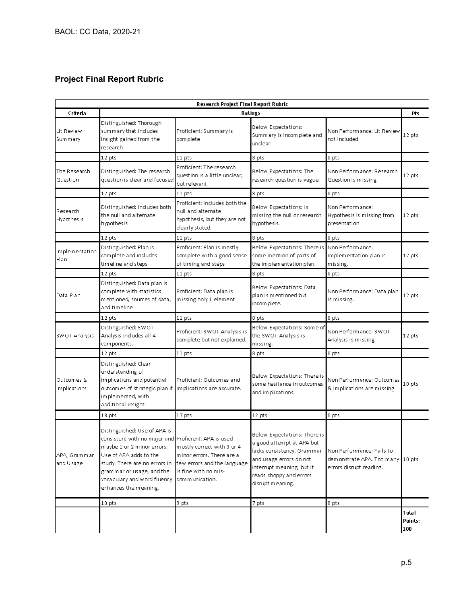## **Project Final Report Rubric**

| Research Project Final Report Rubric |                                                                                                                                                                                                                                                                    |                                                                                                                                  |                                                                                                                                                                                                |                                                                                            |                                 |  |  |
|--------------------------------------|--------------------------------------------------------------------------------------------------------------------------------------------------------------------------------------------------------------------------------------------------------------------|----------------------------------------------------------------------------------------------------------------------------------|------------------------------------------------------------------------------------------------------------------------------------------------------------------------------------------------|--------------------------------------------------------------------------------------------|---------------------------------|--|--|
| Criteria                             |                                                                                                                                                                                                                                                                    |                                                                                                                                  | Ratings                                                                                                                                                                                        |                                                                                            | Pts                             |  |  |
| Lit Review<br><b>Summary</b>         | Distinguished: Thorough<br>summary that includes<br>insight gained from the<br>research                                                                                                                                                                            | Proficient: Summary is<br>complete                                                                                               | Below Expectations:<br>Summary is incomplete and<br>unclear                                                                                                                                    | Non Perform ance: Lit Review<br>not included                                               | 12 pts                          |  |  |
|                                      | 12 pts                                                                                                                                                                                                                                                             | 11 pts                                                                                                                           | 8 pts                                                                                                                                                                                          | 0 pts                                                                                      |                                 |  |  |
| The Research<br>Question             | Distinguished: The research<br>question is clear and focused                                                                                                                                                                                                       | Proficient: The research<br>question is a little unclear,<br>but relevant                                                        | Below Expectations: The<br>research question is vague                                                                                                                                          | Non Perform ance: Research<br>Question is missing.                                         | 12 pts                          |  |  |
|                                      | 12 pts                                                                                                                                                                                                                                                             | 11 pts                                                                                                                           | 8 pts                                                                                                                                                                                          | 0 pts                                                                                      |                                 |  |  |
| Research<br>Hypothesis               | Distinguished: Includes both<br>the null and alternate.<br>hypothesis                                                                                                                                                                                              | Proficient: Includes both the<br>null and alternate<br>hypothesis, but they are not<br>clearly stated.                           | Below Expectations: Is<br>missing the null or research<br>hypothesis.                                                                                                                          | Non Perform ance:<br>Hypothesis is missing from<br>presentation                            | 12 pts                          |  |  |
|                                      | 12 pts                                                                                                                                                                                                                                                             | 11 pts                                                                                                                           | 8 pts                                                                                                                                                                                          | 0 pts                                                                                      |                                 |  |  |
| Implementation<br>Plan               | Distinguished: Plan is<br>complete and includes<br>tim eline and steps                                                                                                                                                                                             | Proficient: Plan is mostly<br>complete with a good sense<br>of timing and steps                                                  | Below Expectations: There is Non Performance:<br>some mention of parts of<br>the implementation plan.                                                                                          | Implementation plan is<br>m is sing.                                                       | 12 pts                          |  |  |
|                                      | 12 pts                                                                                                                                                                                                                                                             | 11 pts                                                                                                                           | 8 pts                                                                                                                                                                                          | 0 pts                                                                                      |                                 |  |  |
| Data Plan                            | Distinguished: Data plan is<br>complete with statistics<br>mentioned, sources of data,<br>and timeline                                                                                                                                                             | Proficient: Data plan is<br>missing only 1 element                                                                               | Below Expectations: Data<br>plan is mentioned but<br>incom plete.                                                                                                                              | Non Performance: Data plan<br>is missing.                                                  | 12 pts                          |  |  |
|                                      | 12 pts                                                                                                                                                                                                                                                             | 11 pts                                                                                                                           | 8 pts                                                                                                                                                                                          | 0 pts                                                                                      |                                 |  |  |
| SWOT Analysis                        | Distinguished: SWOT<br>Analysis includes all 4<br>com ponents.                                                                                                                                                                                                     | Proficient: SWOT Analysis is<br>complete but not explained.                                                                      | Below Expectations: Some of<br>the SWOT Analysis is<br>missing.                                                                                                                                | Non Perform ance: SWOT<br>Analysis is missing                                              | 12 pts                          |  |  |
|                                      | 12 pts                                                                                                                                                                                                                                                             | 11 pts                                                                                                                           | 8 pts                                                                                                                                                                                          | 0 pts                                                                                      |                                 |  |  |
| Outcomes &<br>Implications           | Distinguished: Clear<br>understanding of<br>implications and potential<br>outcom es of strategic plan if  <br>implemented, with<br>additional insight.                                                                                                             | Proficient: Outcomes and<br>Implications are accurate.                                                                           | Below Expectations: There is<br>some hesitance in outcomes<br>and implications.                                                                                                                | Non Perform ance: Outcom es<br>& Implications are missing                                  | 18 pts                          |  |  |
|                                      | 18 pts                                                                                                                                                                                                                                                             | 17 pts                                                                                                                           | 12 pts                                                                                                                                                                                         | 0 pts                                                                                      |                                 |  |  |
| APA, Grammar<br>and Usage            | Distinguished: Use of APA is<br>consistent with no major and Proficient: APA is used<br>maybe 1 or 2 minor errors.<br>Use of APA adds to the<br>study. There are no errors in<br>grammar or usage, and the<br>vocabulary and word fluency<br>enhances the meaning. | mostly correct with 3 or 4<br>minor errors. There are a<br>few errors and the language<br>is fine with no mis-<br>communication. | Below Expectations: There is<br>a good attempt at APA but<br>lacks consistency. Grammar<br>and usage errors do not<br>interrupt meaning, but it<br>reads choppy and errors<br>disrupt meaning. | Non Perform ance: Fails to<br>dem onstrate APA. Too many 10 pts<br>errors disrupt reading. |                                 |  |  |
|                                      | 10 pts                                                                                                                                                                                                                                                             | 9 pts                                                                                                                            | 7 pts                                                                                                                                                                                          | 0 pts                                                                                      |                                 |  |  |
|                                      |                                                                                                                                                                                                                                                                    |                                                                                                                                  |                                                                                                                                                                                                |                                                                                            | <b>T</b> otal<br>Points:<br>100 |  |  |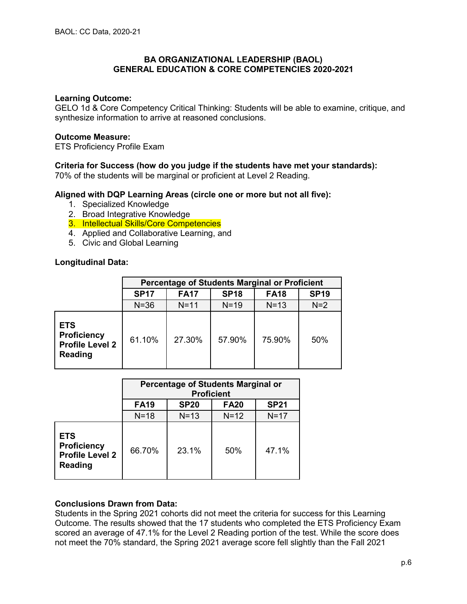## **Learning Outcome:**

GELO 1d & Core Competency Critical Thinking: Students will be able to examine, critique, and synthesize information to arrive at reasoned conclusions.

## **Outcome Measure:**

ETS Proficiency Profile Exam

## **Criteria for Success (how do you judge if the students have met your standards):**

70% of the students will be marginal or proficient at Level 2 Reading.

## **Aligned with DQP Learning Areas (circle one or more but not all five):**

- 1. Specialized Knowledge
- 2. Broad Integrative Knowledge
- 3. Intellectual Skills/Core Competencies
- 4. Applied and Collaborative Learning, and
- 5. Civic and Global Learning

## **Longitudinal Data:**

|                                                                              | Percentage of Students Marginal or Proficient |                                                          |        |        |       |  |  |  |
|------------------------------------------------------------------------------|-----------------------------------------------|----------------------------------------------------------|--------|--------|-------|--|--|--|
|                                                                              | <b>SP17</b>                                   | <b>SP18</b><br><b>FA18</b><br><b>SP19</b><br><b>FA17</b> |        |        |       |  |  |  |
|                                                                              | $N = 36$                                      | $N = 11$                                                 | $N=19$ | $N=13$ | $N=2$ |  |  |  |
| <b>ETS</b><br><b>Proficiency</b><br><b>Profile Level 2</b><br><b>Reading</b> | 61.10%                                        | 27.30%                                                   | 57.90% | 75.90% | 50%   |  |  |  |

|                                                                              | <b>Percentage of Students Marginal or</b><br><b>Proficient</b> |                                           |        |        |  |  |  |  |
|------------------------------------------------------------------------------|----------------------------------------------------------------|-------------------------------------------|--------|--------|--|--|--|--|
|                                                                              | <b>FA19</b>                                                    | <b>SP21</b><br><b>SP20</b><br><b>FA20</b> |        |        |  |  |  |  |
|                                                                              | $N=18$                                                         | $N=13$                                    | $N=12$ | $N=17$ |  |  |  |  |
| <b>ETS</b><br><b>Proficiency</b><br><b>Profile Level 2</b><br><b>Reading</b> | 66.70%                                                         | 23.1%                                     | 50%    | 47.1%  |  |  |  |  |

## **Conclusions Drawn from Data:**

Students in the Spring 2021 cohorts did not meet the criteria for success for this Learning Outcome. The results showed that the 17 students who completed the ETS Proficiency Exam scored an average of 47.1% for the Level 2 Reading portion of the test. While the score does not meet the 70% standard, the Spring 2021 average score fell slightly than the Fall 2021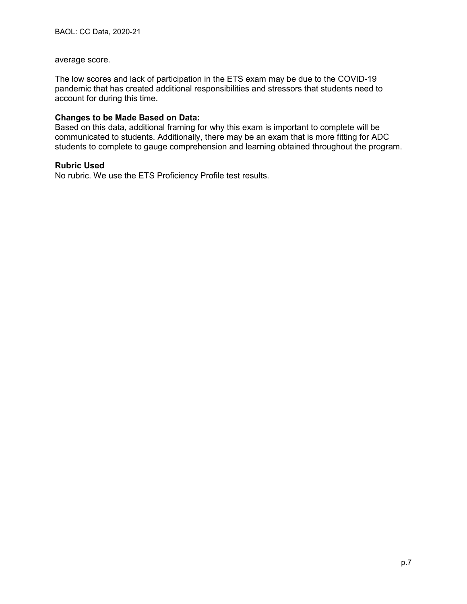#### average score.

The low scores and lack of participation in the ETS exam may be due to the COVID-19 pandemic that has created additional responsibilities and stressors that students need to account for during this time.

## **Changes to be Made Based on Data:**

Based on this data, additional framing for why this exam is important to complete will be communicated to students. Additionally, there may be an exam that is more fitting for ADC students to complete to gauge comprehension and learning obtained throughout the program.

#### **Rubric Used**

No rubric. We use the ETS Proficiency Profile test results.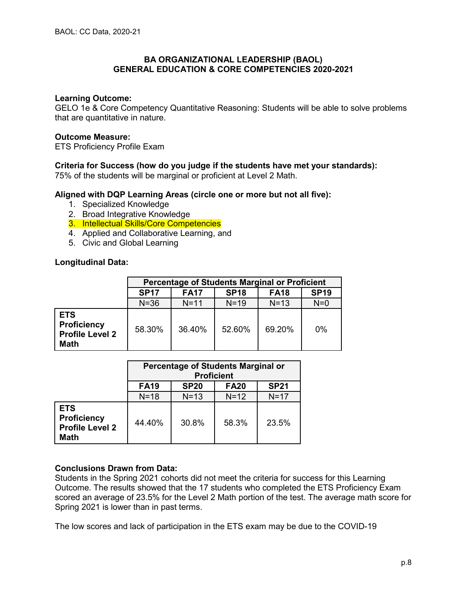## **Learning Outcome:**

GELO 1e & Core Competency Quantitative Reasoning: Students will be able to solve problems that are quantitative in nature.

## **Outcome Measure:**

ETS Proficiency Profile Exam

## **Criteria for Success (how do you judge if the students have met your standards):**

75% of the students will be marginal or proficient at Level 2 Math.

## **Aligned with DQP Learning Areas (circle one or more but not all five):**

- 1. Specialized Knowledge
- 2. Broad Integrative Knowledge
- 3. Intellectual Skills/Core Competencies
- 4. Applied and Collaborative Learning, and
- 5. Civic and Global Learning

## **Longitudinal Data:**

|                                                                           | <b>Percentage of Students Marginal or Proficient</b> |                                                          |          |        |       |  |  |  |
|---------------------------------------------------------------------------|------------------------------------------------------|----------------------------------------------------------|----------|--------|-------|--|--|--|
|                                                                           | <b>SP17</b>                                          | <b>FA17</b><br><b>SP19</b><br><b>SP18</b><br><b>FA18</b> |          |        |       |  |  |  |
|                                                                           | $N = 36$                                             | $N = 11$                                                 | $N = 19$ | $N=13$ | $N=0$ |  |  |  |
| <b>ETS</b><br><b>Proficiency</b><br><b>Profile Level 2</b><br><b>Math</b> | 58.30%                                               | 36.40%                                                   | 52.60%   | 69.20% | $0\%$ |  |  |  |

|                                                                           | Percentage of Students Marginal or<br><b>Proficient</b> |             |             |             |  |
|---------------------------------------------------------------------------|---------------------------------------------------------|-------------|-------------|-------------|--|
|                                                                           | <b>FA19</b>                                             | <b>SP20</b> | <b>FA20</b> | <b>SP21</b> |  |
|                                                                           | $N=18$                                                  | $N=13$      | $N=12$      | $N=17$      |  |
| <b>ETS</b><br><b>Proficiency</b><br><b>Profile Level 2</b><br><b>Math</b> | 44.40%                                                  | 30.8%       | 58.3%       | 23.5%       |  |

## **Conclusions Drawn from Data:**

Students in the Spring 2021 cohorts did not meet the criteria for success for this Learning Outcome. The results showed that the 17 students who completed the ETS Proficiency Exam scored an average of 23.5% for the Level 2 Math portion of the test. The average math score for Spring 2021 is lower than in past terms.

The low scores and lack of participation in the ETS exam may be due to the COVID-19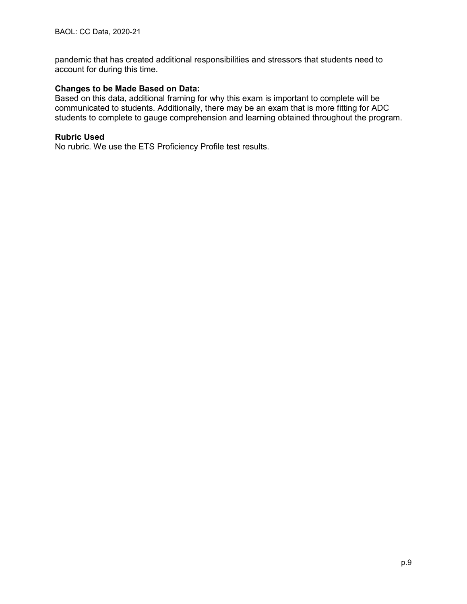pandemic that has created additional responsibilities and stressors that students need to account for during this time.

## **Changes to be Made Based on Data:**

Based on this data, additional framing for why this exam is important to complete will be communicated to students. Additionally, there may be an exam that is more fitting for ADC students to complete to gauge comprehension and learning obtained throughout the program.

## **Rubric Used**

No rubric. We use the ETS Proficiency Profile test results.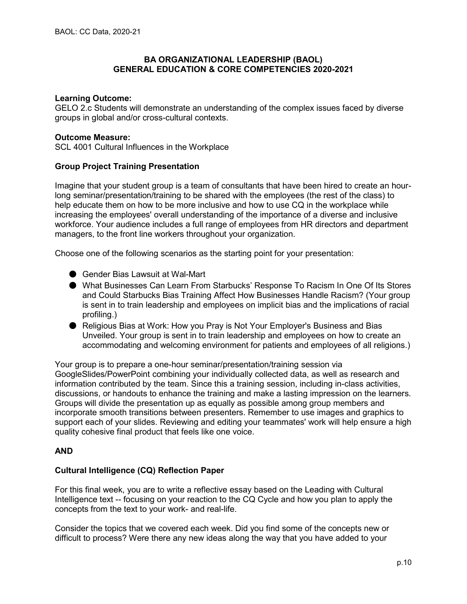#### **Learning Outcome:**

GELO 2.c Students will demonstrate an understanding of the complex issues faced by diverse groups in global and/or cross-cultural contexts.

#### **Outcome Measure:**

SCL 4001 Cultural Influences in the Workplace

## **Group Project Training Presentation**

Imagine that your student group is a team of consultants that have been hired to create an hourlong seminar/presentation/training to be shared with the employees (the rest of the class) to help educate them on how to be more inclusive and how to use CQ in the workplace while increasing the employees' overall understanding of the importance of a diverse and inclusive workforce. Your audience includes a full range of employees from HR directors and department managers, to the front line workers throughout your organization.

Choose one of the following scenarios as the starting point for your presentation:

- Gender Bias Lawsuit at Wal-Mart
- What Businesses Can Learn From Starbucks' Response To Racism In One Of Its Stores and Could Starbucks Bias Training Affect How Businesses Handle Racism? (Your group is sent in to train leadership and employees on implicit bias and the implications of racial profiling.)
- Religious Bias at Work: How you Pray is Not Your Employer's Business and Bias Unveiled. Your group is sent in to train leadership and employees on how to create an accommodating and welcoming environment for patients and employees of all religions.)

Your group is to prepare a one-hour seminar/presentation/training session via GoogleSlides/PowerPoint combining your individually collected data, as well as research and information contributed by the team. Since this a training session, including in-class activities, discussions, or handouts to enhance the training and make a lasting impression on the learners. Groups will divide the presentation up as equally as possible among group members and incorporate smooth transitions between presenters. Remember to use images and graphics to support each of your slides. Reviewing and editing your teammates' work will help ensure a high quality cohesive final product that feels like one voice.

#### **AND**

#### **Cultural Intelligence (CQ) Reflection Paper**

For this final week, you are to write a reflective essay based on the Leading with Cultural Intelligence text -- focusing on your reaction to the CQ Cycle and how you plan to apply the concepts from the text to your work- and real-life.

Consider the topics that we covered each week. Did you find some of the concepts new or difficult to process? Were there any new ideas along the way that you have added to your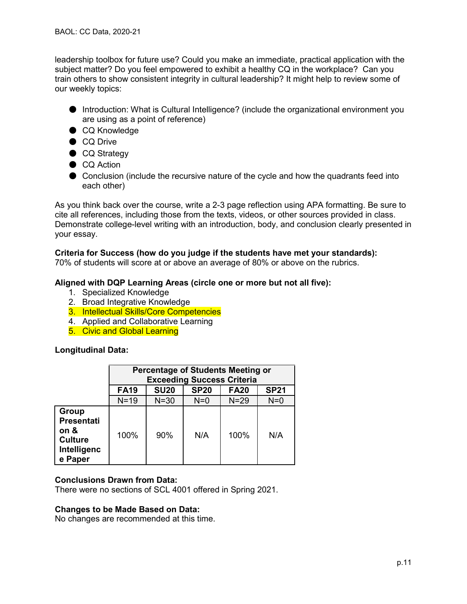leadership toolbox for future use? Could you make an immediate, practical application with the subject matter? Do you feel empowered to exhibit a healthy CQ in the workplace? Can you train others to show consistent integrity in cultural leadership? It might help to review some of our weekly topics:

- Introduction: What is Cultural Intelligence? (include the organizational environment you are using as a point of reference)
- CQ Knowledge
- CQ Drive
- CQ Strategy
- CQ Action
- Conclusion (include the recursive nature of the cycle and how the quadrants feed into each other)

As you think back over the course, write a 2-3 page reflection using APA formatting. Be sure to cite all references, including those from the texts, videos, or other sources provided in class. Demonstrate college-level writing with an introduction, body, and conclusion clearly presented in your essay.

## **Criteria for Success (how do you judge if the students have met your standards):**

70% of students will score at or above an average of 80% or above on the rubrics.

## **Aligned with DQP Learning Areas (circle one or more but not all five):**

- 1. Specialized Knowledge
- 2. Broad Integrative Knowledge
- 3. Intellectual Skills/Core Competencies
- 4. Applied and Collaborative Learning
- 5. Civic and Global Learning

#### **Longitudinal Data:**

|                                                                                       | <b>Percentage of Students Meeting or</b><br><b>Exceeding Success Criteria</b> |             |             |             |             |  |  |
|---------------------------------------------------------------------------------------|-------------------------------------------------------------------------------|-------------|-------------|-------------|-------------|--|--|
|                                                                                       | <b>FA19</b>                                                                   | <b>SU20</b> | <b>SP20</b> | <b>FA20</b> | <b>SP21</b> |  |  |
|                                                                                       | $N=19$                                                                        | $N = 30$    | $N=0$       | $N=29$      | $N=0$       |  |  |
| <b>Group</b><br><b>Presentati</b><br>on &<br><b>Culture</b><br>Intelligenc<br>e Paper | 100%                                                                          | 90%         | N/A         | 100%        | N/A         |  |  |

#### **Conclusions Drawn from Data:**

There were no sections of SCL 4001 offered in Spring 2021.

#### **Changes to be Made Based on Data:**

No changes are recommended at this time.